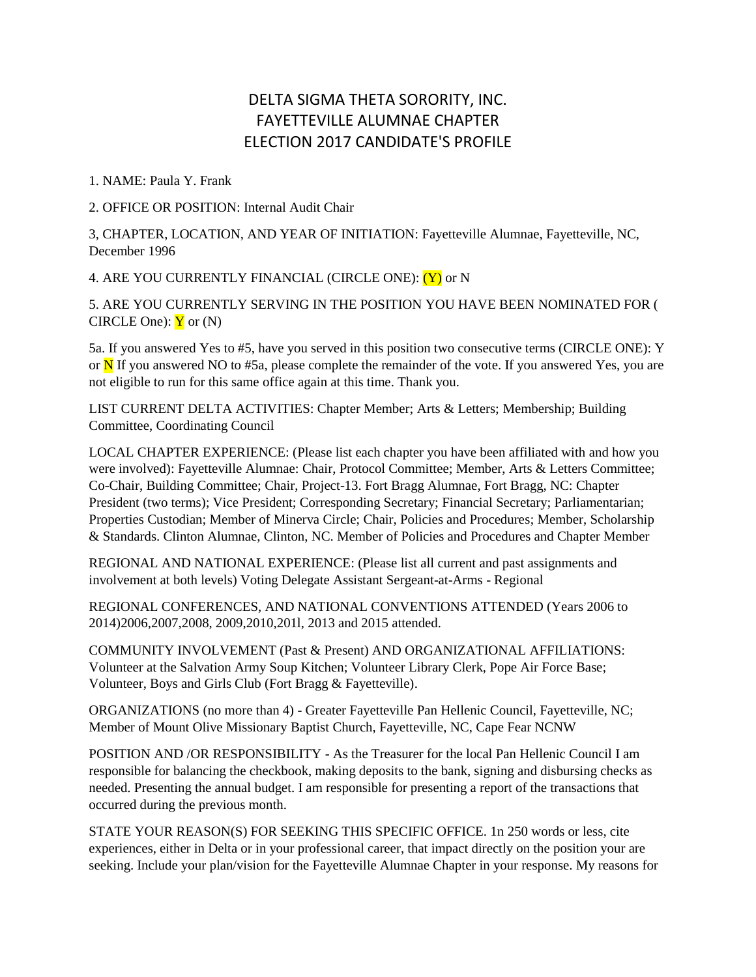## DELTA SIGMA THETA SORORITY, INC. FAYETTEVILLE ALUMNAE CHAPTER ELECTION 2017 CANDIDATE'S PROFILE

1. NAME: Paula Y. Frank

2. OFFICE OR POSITION: Internal Audit Chair

3, CHAPTER, LOCATION, AND YEAR OF INITIATION: Fayetteville Alumnae, Fayetteville, NC, December 1996

4. ARE YOU CURRENTLY FINANCIAL (CIRCLE ONE): (Y) or N

5. ARE YOU CURRENTLY SERVING IN THE POSITION YOU HAVE BEEN NOMINATED FOR ( CIRCLE One):  $\mathbf{\dot{Y}}$  or (N)

5a. If you answered Yes to #5, have you served in this position two consecutive terms (CIRCLE ONE): Y or  $\overline{N}$  If you answered NO to #5a, please complete the remainder of the vote. If you answered Yes, you are not eligible to run for this same office again at this time. Thank you.

LIST CURRENT DELTA ACTIVITIES: Chapter Member; Arts & Letters; Membership; Building Committee, Coordinating Council

LOCAL CHAPTER EXPERIENCE: (Please list each chapter you have been affiliated with and how you were involved): Fayetteville Alumnae: Chair, Protocol Committee; Member, Arts & Letters Committee; Co-Chair, Building Committee; Chair, Project-13. Fort Bragg Alumnae, Fort Bragg, NC: Chapter President (two terms); Vice President; Corresponding Secretary; Financial Secretary; Parliamentarian; Properties Custodian; Member of Minerva Circle; Chair, Policies and Procedures; Member, Scholarship & Standards. Clinton Alumnae, Clinton, NC. Member of Policies and Procedures and Chapter Member

REGIONAL AND NATIONAL EXPERIENCE: (Please list all current and past assignments and involvement at both levels) Voting Delegate Assistant Sergeant-at-Arms - Regional

REGIONAL CONFERENCES, AND NATIONAL CONVENTIONS ATTENDED (Years 2006 to 2014)2006,2007,2008, 2009,2010,201l, 2013 and 2015 attended.

COMMUNITY INVOLVEMENT (Past & Present) AND ORGANIZATIONAL AFFILIATIONS: Volunteer at the Salvation Army Soup Kitchen; Volunteer Library Clerk, Pope Air Force Base; Volunteer, Boys and Girls Club (Fort Bragg & Fayetteville).

ORGANIZATIONS (no more than 4) - Greater Fayetteville Pan Hellenic Council, Fayetteville, NC; Member of Mount Olive Missionary Baptist Church, Fayetteville, NC, Cape Fear NCNW

POSITION AND /OR RESPONSIBILITY - As the Treasurer for the local Pan Hellenic Council I am responsible for balancing the checkbook, making deposits to the bank, signing and disbursing checks as needed. Presenting the annual budget. I am responsible for presenting a report of the transactions that occurred during the previous month.

STATE YOUR REASON(S) FOR SEEKING THIS SPECIFIC OFFICE. 1n 250 words or less, cite experiences, either in Delta or in your professional career, that impact directly on the position your are seeking. Include your plan/vision for the Fayetteville Alumnae Chapter in your response. My reasons for